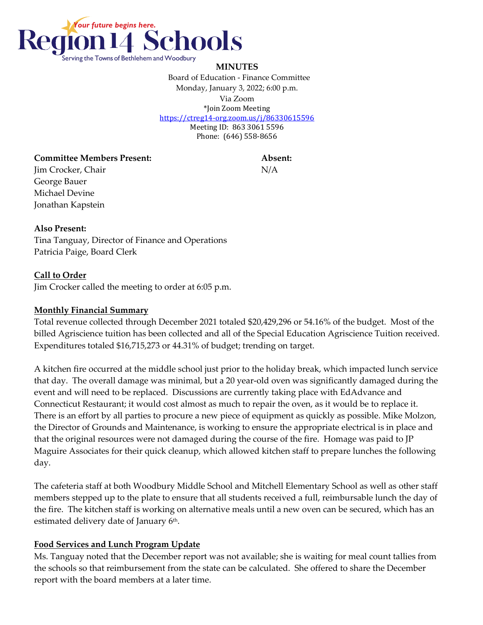

#### **MINUTES**

 Board of Education - Finance Committee Monday, January 3, 2022; 6:00 p.m. Via Zoom \*Join Zoom Meeting <https://ctreg14-org.zoom.us/j/86330615596> Meeting ID: 863 3061 5596 Phone: (646) 558-8656

#### **Committee Members Present: Absent:**

Jim Crocker, Chair N/A George Bauer Michael Devine Jonathan Kapstein

#### **Also Present:**

Tina Tanguay, Director of Finance and Operations Patricia Paige, Board Clerk

### **Call to Order**

Jim Crocker called the meeting to order at 6:05 p.m.

### **Monthly Financial Summary**

Total revenue collected through December 2021 totaled \$20,429,296 or 54.16% of the budget. Most of the billed Agriscience tuition has been collected and all of the Special Education Agriscience Tuition received. Expenditures totaled \$16,715,273 or 44.31% of budget; trending on target.

A kitchen fire occurred at the middle school just prior to the holiday break, which impacted lunch service that day. The overall damage was minimal, but a 20 year-old oven was significantly damaged during the event and will need to be replaced. Discussions are currently taking place with EdAdvance and Connecticut Restaurant; it would cost almost as much to repair the oven, as it would be to replace it. There is an effort by all parties to procure a new piece of equipment as quickly as possible. Mike Molzon, the Director of Grounds and Maintenance, is working to ensure the appropriate electrical is in place and that the original resources were not damaged during the course of the fire. Homage was paid to JP Maguire Associates for their quick cleanup, which allowed kitchen staff to prepare lunches the following day.

The cafeteria staff at both Woodbury Middle School and Mitchell Elementary School as well as other staff members stepped up to the plate to ensure that all students received a full, reimbursable lunch the day of the fire. The kitchen staff is working on alternative meals until a new oven can be secured, which has an estimated delivery date of January 6<sup>th</sup>.

## **Food Services and Lunch Program Update**

Ms. Tanguay noted that the December report was not available; she is waiting for meal count tallies from the schools so that reimbursement from the state can be calculated. She offered to share the December report with the board members at a later time.